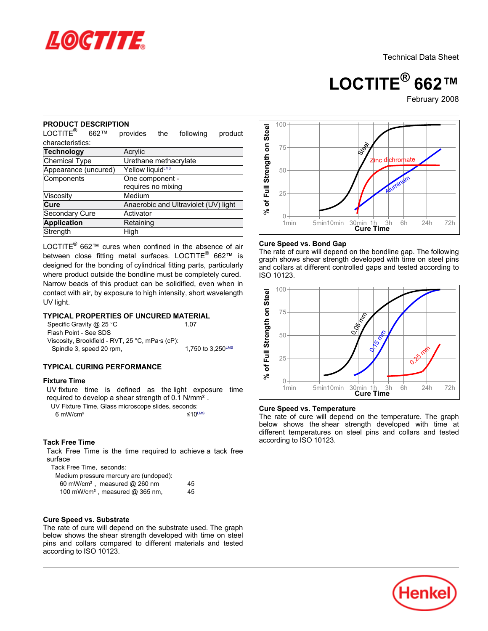

**LOCTITE® 662™**

February-2008

#### **PRODUCT DESCRIPTION**

| טשע ו טטע<br>טוז דוסו<br>LOCTITE <sup>®</sup><br>662™                                                                                                                                                                                                                                                                                                                                                                              | provides<br>the                       | following                 | product                     |                                   |
|------------------------------------------------------------------------------------------------------------------------------------------------------------------------------------------------------------------------------------------------------------------------------------------------------------------------------------------------------------------------------------------------------------------------------------|---------------------------------------|---------------------------|-----------------------------|-----------------------------------|
| characteristics:                                                                                                                                                                                                                                                                                                                                                                                                                   |                                       |                           |                             |                                   |
| <b>Technology</b>                                                                                                                                                                                                                                                                                                                                                                                                                  | Acrylic                               |                           |                             |                                   |
| Chemical Type                                                                                                                                                                                                                                                                                                                                                                                                                      | Urethane methacrylate                 |                           |                             |                                   |
| Appearance (uncured)                                                                                                                                                                                                                                                                                                                                                                                                               | Yellow liquidLMS                      |                           |                             |                                   |
| Components                                                                                                                                                                                                                                                                                                                                                                                                                         | One component -<br>requires no mixing |                           | % of Full Strength on Steel |                                   |
| Viscosity                                                                                                                                                                                                                                                                                                                                                                                                                          | Medium                                |                           |                             |                                   |
| Cure                                                                                                                                                                                                                                                                                                                                                                                                                               | Anaerobic and Ultraviolet (UV) light  |                           |                             |                                   |
| Secondary Cure                                                                                                                                                                                                                                                                                                                                                                                                                     | Activator                             |                           |                             |                                   |
| <b>Application</b>                                                                                                                                                                                                                                                                                                                                                                                                                 | Retaining                             |                           |                             |                                   |
| Strength                                                                                                                                                                                                                                                                                                                                                                                                                           | High                                  |                           |                             |                                   |
| LOCTITE <sup>®</sup> 662™ cures when confined in the absence of air<br>between close fitting metal surfaces. LOCTITE <sup>®</sup> 662™ is<br>designed for the bonding of cylindrical fitting parts, particularly<br>where product outside the bondline must be completely cured.<br>Narrow beads of this product can be solidified, even when in<br>contact with air, by exposure to high intensity, short wavelength<br>UV light. |                                       |                           |                             | The<br>gra<br>and<br><b>ISO</b>   |
| <b>TYPICAL PROPERTIES OF UNCURED MATERIAL</b><br>Specific Gravity @ 25 °C<br>Flash Point - See SDS<br>Viscosity, Brookfield - RVT, 25 °C, mPa·s (cP):<br>Spindle 3, speed 20 rpm,                                                                                                                                                                                                                                                  |                                       | 1.07<br>1,750 to 3,250LMS |                             | of Full Strength on Steel         |
| <b>TYPICAL CURING PERFORMANCE</b>                                                                                                                                                                                                                                                                                                                                                                                                  |                                       |                           |                             |                                   |
| <b>Fixture Time</b><br>UV fixture time is defined as the light exposure<br>required to develop a shear strength of 0.1 N/mm <sup>2</sup> .<br>UV Fixture Time, Glass microscope slides, seconds:<br>$6 \text{ mW/cm}^2$                                                                                                                                                                                                            |                                       | $\leq 10^{\text{LMS}}$    | time                        | వ్<br>Cur<br>The<br>belo<br>diffe |
| <b>Tack Free Time</b><br>Tack Free Time is the time required to achieve a tack free<br>surface<br>Tack Free Time, seconds:<br>Medium pressure mercury arc (undoped):<br>60 mW/cm <sup>2</sup> , measured @ 260 nm<br>100 mW/cm <sup>2</sup> , measured @ 365 nm,                                                                                                                                                                   |                                       | 45<br>45                  |                             | acc                               |
| <b>Cure Speed vs. Substrate</b><br>The rate of cure will depend on the substrate used. The graph<br>below shows the shear strength developed with time on steel<br>pins and collars compared to different materials and tested<br>according to ISO 10123.                                                                                                                                                                          |                                       |                           |                             |                                   |

# **TYPICAL PROPERTIES OF UNCURED MATERIAL**

| Specific Gravity @ 25 °C                        | 1.07                          |
|-------------------------------------------------|-------------------------------|
| Flash Point - See SDS                           |                               |
| Viscosity, Brookfield - RVT, 25 °C, mPa·s (cP): |                               |
| Spindle 3, speed 20 rpm,                        | 1.750 to $3.250^{\text{LMS}}$ |
|                                                 |                               |

## **TYPICAL CURING PERFORMANCE**

#### **Fixture Time**

# **Tack Free Time**

| Medium pressure mercury arc (undoped):       |    |
|----------------------------------------------|----|
| 60 mW/cm <sup>2</sup> , measured $@$ 260 nm  | 45 |
| 100 mW/cm <sup>2</sup> , measured $@365$ nm, | 45 |

#### **Cure Speed vs. Substrate**



#### **Cure Speed vs. Bond Gap**

The rate of cure will depend on the bondline gap. The following graph shows shear strength developed with time on steel pins and collars at different controlled gaps and tested according to ISO 10123.



#### **Cure Speed vs. Temperature**

The rate of cure will depend on the temperature. The graph below shows the shear strength developed with time at different temperatures on steel pins and collars and tested according to ISO 10123.

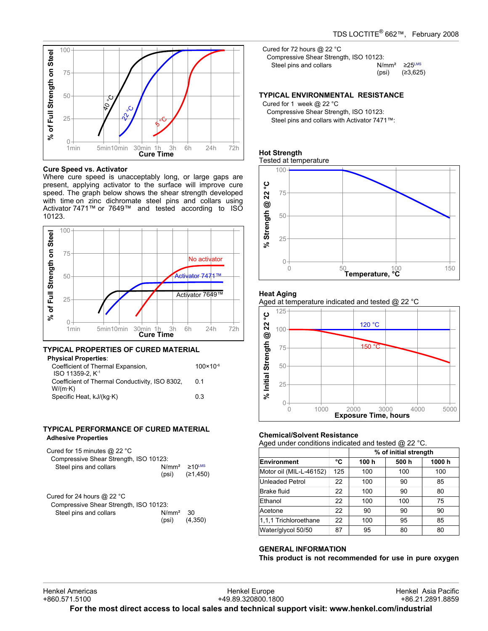

#### **Cure Speed vs. Activator**

Where cure speed is unacceptably long, or large gaps are present, applying activator to the surface will improve cure speed. The graph below shows the shear strength developed with time on zinc dichromate steel pins and collars using Activator 7471™ or 7649™ and tested according to ISO 10123.



#### **TYPICAL PROPERTIES OF CURED MATERIAL Physical Properties**:

| ∽nysicai Properties∶                           |                      |
|------------------------------------------------|----------------------|
| Coefficient of Thermal Expansion,              | $100 \times 10^{-6}$ |
| ISO 11359-2. K <sup>-1</sup>                   |                      |
| Coefficient of Thermal Conductivity, ISO 8302, | 0 1                  |
| $W/(m \cdot K)$                                |                      |
| Specific Heat, kJ/(kq·K)                       | 0.3                  |
|                                                |                      |

#### **TYPICAL PERFORMANCE OF CURED MATERIAL Adhesive Properties**

| Cured for 15 minutes $@$ 22 °C<br>Compressive Shear Strength, ISO 10123: |  |                                             |  |  |
|--------------------------------------------------------------------------|--|---------------------------------------------|--|--|
| Steel pins and collars                                                   |  | $N/mm^2 \ge 10^{LMS}$<br>$(psi)$ $(21,450)$ |  |  |
| Cured for 24 hours $@$ 22 °C                                             |  |                                             |  |  |

| Compressive Shear Strength, ISO 10123: |            |         |
|----------------------------------------|------------|---------|
| Steel pins and collars                 | $N/mm2$ 30 |         |
|                                        | (psi)      | (4,350) |

Cured for 72 hours @ 22 °C Compressive Shear Strength, ISO 10123: Steel pins and collars  $N/mm^2 \ge 25^{LMS}$ <br>(psi) (≥3,625)  $(≥3,625)$ 

#### **TYPICAL ENVIRONMENTAL RESISTANCE**

Cured for 1 week @ 22 °C Compressive Shear Strength, ISO 10123: Steel pins and collars with Activator 7471™:

# **Hot Strength**

Tested at temperature



#### **Heat Aging**

Aged at temperature indicated and tested @ 22 °C



#### **Chemical/Solvent Resistance**

Aged under conditions indicated and tested  $@$  22 °C.

| ີ                       |     |                       |      |       |
|-------------------------|-----|-----------------------|------|-------|
|                         |     | % of initial strength |      |       |
| Environment             | °C  | 100 h                 | 500h | 1000h |
| Motor oil (MIL-L-46152) | 125 | 100                   | 100  | 100   |
| Unleaded Petrol         | 22  | 100                   | 90   | 85    |
| Brake fluid             | 22  | 100                   | 90   | 80    |
| Ethanol                 | 22  | 100                   | 100  | 75    |
| Acetone                 | 22  | 90                    | 90   | 90    |
| 1,1,1 Trichloroethane   | 22  | 100                   | 95   | 85    |
| Water/glycol 50/50      | 87  | 95                    | 80   | 80    |

#### **GENERAL INFORMATION**

**This product is not recommended for use in pure oxygen**

Henkel Europe +49.89.320800.1800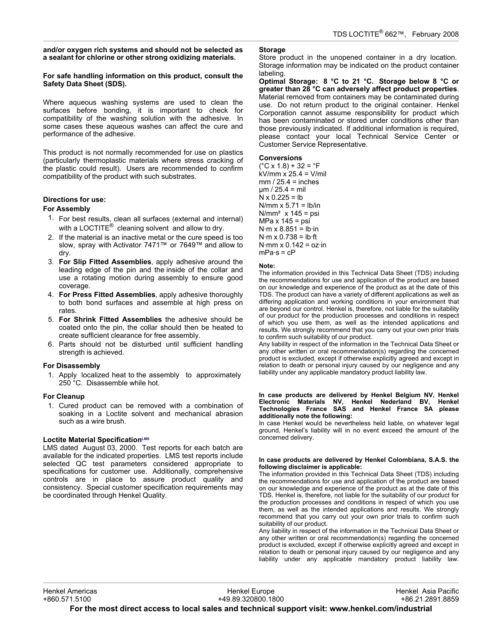#### **and/or oxygen rich systems and should not be selected as a sealant for chlorine or other strong oxidizing materials.**

#### **For safe handling information on this product, consult the Safety Data Sheet (SDS).**

Where aqueous washing systems are used to clean the surfaces before bonding, it is important to check for compatibility of the washing solution with the adhesive. In some cases these aqueous washes can affect the cure and performance of the adhesive.

This product is not normally recommended for use on plastics (particularly thermoplastic materials where stress cracking of the plastic could result). Users are recommended to confirm compatibility of the product with such substrates.

## **Directions for use:**

### **For Assembly**

- 1. For best results, clean all surfaces (external and internal) with a LOCTITE $^{\circledR}$  cleaning solvent and allow to dry.
- 2. If the material is an inactive metal or the cure speed is too slow, spray with Activator 7471™ or 7649™ and allow to dry.
- 3. **For Slip Fitted Assemblies**, apply adhesive around the leading edge of the pin and the inside of the collar and use a rotating motion during assembly to ensure good coverage.
- 4. **For Press Fitted Assemblies**, apply adhesive thoroughly to both bond surfaces and assemble at high press on rates.
- 5. **For Shrink Fitted Assemblies** the adhesive should be coated onto the pin, the collar should then be heated to create sufficient clearance for free assembly.
- 6. Parts should not be disturbed until sufficient handling strength is achieved.

## **For Disassembly**

1. Apply localized heat to the assembly to approximately 250 °C. Disassemble while hot.

## **For Cleanup**

1. Cured product can be removed with a combination of soaking in a Loctite solvent and mechanical abrasion such as a wire brush.

## **Loctite Material SpecificationLMS**

LMS dated August 03, 2000. Test reports for each batch are available for the indicated properties. LMS test reports include selected QC test parameters considered appropriate to specifications for customer use. Additionally, comprehensive controls are in place to assure product quality and consistency. Special customer specification requirements may be coordinated through Henkel Quality.

## **Storage**

Store product in the unopened container in a dry location. Storage information may be indicated on the product container labeling.

**Optimal Storage: 8 °C to 21 °C. Storage below 8 °C or greater than 28 °C can adversely affect product properties**. Material removed from containers may be contaminated during use. Do not return product to the original container. Henkel Corporation cannot assume responsibility for product which has been contaminated or stored under conditions other than those previously indicated. If additional information is required, please contact your local Technical Service Center or Customer Service Representative.

#### **Conversions**

 $(^{\circ}C \times 1.8) + 32 = ^{\circ}F$ kV/mm x 25.4 = V/mil  $mm / 25.4 = inches$ µm / 25.4 = mil  $N \times 0.225 = lb$ N/mm  $x$  5.71 = lb/in  $N/mm<sup>2</sup>$  x 145 = psi MPa x 145 = psi  $N·m \times 8.851 = lb·in$  $N·m \times 0.738 = lb·ft$ N $\cdot$ mm x 0.142 = oz $\cdot$ in  $mPa·s = cP$ 

#### **Note:**

The information provided in this Technical Data Sheet (TDS) including the recommendations for use and application of the product are based on our knowledge and experience of the product as at the date of this TDS. The product can have a variety of different applications as well as differing application and working conditions in your environment that are beyond our control. Henkel is, therefore, not liable for the suitability of our product for the production processes and conditions in respect of which you use them, as well as the intended applications and results. We strongly recommend that you carry out your own prior trials to confirm such suitability of our product.

Any liability in respect of the information in the Technical Data Sheet or any other written or oral recommendation(s) regarding the concerned product is excluded, except if otherwise explicitly agreed and except in relation to death or personal injury caused by our negligence and any liability under any applicable mandatory product liability law.

#### **In case products are delivered by Henkel Belgium NV, Henkel Electronic Materials NV, Henkel Nederland BV, Henkel Technologies France SAS and Henkel France SA please additionally note the following:**

In case Henkel would be nevertheless held liable, on whatever legal ground, Henkel's liability will in no event exceed the amount of the concerned delivery.

#### **In case products are delivered by Henkel Colombiana, S.A.S. the following disclaimer is applicable:**

The information provided in this Technical Data Sheet (TDS) including the recommendations for use and application of the product are based on our knowledge and experience of the product as at the date of this TDS. Henkel is, therefore, not liable for the suitability of our product for the production processes and conditions in respect of which you use them, as well as the intended applications and results. We strongly recommend that you carry out your own prior trials to confirm such suitability of our product.

Any liability in respect of the information in the Technical Data Sheet or any other written or oral recommendation(s) regarding the concerned product is excluded, except if otherwise explicitly agreed and except in relation to death or personal injury caused by our negligence and any liability under any applicable mandatory product liability law.